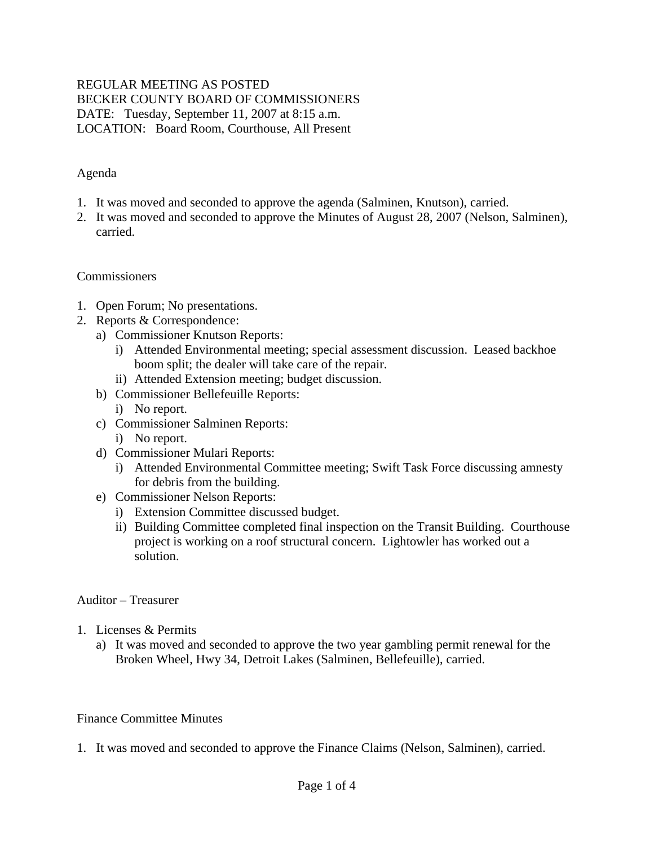#### REGULAR MEETING AS POSTED BECKER COUNTY BOARD OF COMMISSIONERS DATE: Tuesday, September 11, 2007 at 8:15 a.m. LOCATION: Board Room, Courthouse, All Present

#### Agenda

- 1. It was moved and seconded to approve the agenda (Salminen, Knutson), carried.
- 2. It was moved and seconded to approve the Minutes of August 28, 2007 (Nelson, Salminen), carried.

#### Commissioners

- 1. Open Forum; No presentations.
- 2. Reports & Correspondence:
	- a) Commissioner Knutson Reports:
		- i) Attended Environmental meeting; special assessment discussion. Leased backhoe boom split; the dealer will take care of the repair.
		- ii) Attended Extension meeting; budget discussion.
	- b) Commissioner Bellefeuille Reports:
		- i) No report.
	- c) Commissioner Salminen Reports: i) No report.
	- d) Commissioner Mulari Reports:
		- i) Attended Environmental Committee meeting; Swift Task Force discussing amnesty for debris from the building.
	- e) Commissioner Nelson Reports:
		- i) Extension Committee discussed budget.
		- ii) Building Committee completed final inspection on the Transit Building. Courthouse project is working on a roof structural concern. Lightowler has worked out a solution.

#### Auditor – Treasurer

- 1. Licenses & Permits
	- a) It was moved and seconded to approve the two year gambling permit renewal for the Broken Wheel, Hwy 34, Detroit Lakes (Salminen, Bellefeuille), carried.

#### Finance Committee Minutes

1. It was moved and seconded to approve the Finance Claims (Nelson, Salminen), carried.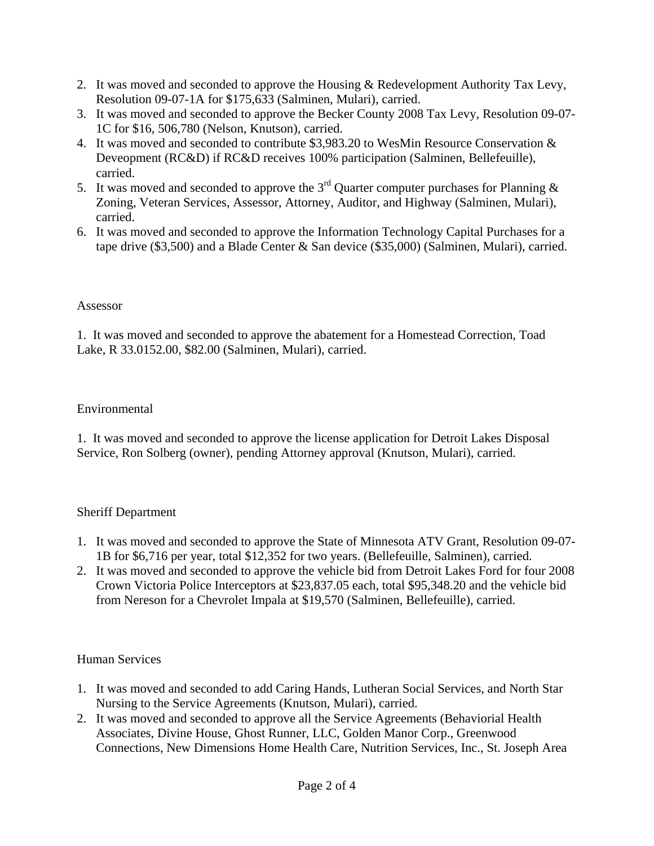- 2. It was moved and seconded to approve the Housing & Redevelopment Authority Tax Levy, Resolution 09-07-1A for \$175,633 (Salminen, Mulari), carried.
- 3. It was moved and seconded to approve the Becker County 2008 Tax Levy, Resolution 09-07- 1C for \$16, 506,780 (Nelson, Knutson), carried.
- 4. It was moved and seconded to contribute \$3,983.20 to WesMin Resource Conservation & Deveopment (RC&D) if RC&D receives 100% participation (Salminen, Bellefeuille), carried.
- 5. It was moved and seconded to approve the 3<sup>rd</sup> Quarter computer purchases for Planning & Zoning, Veteran Services, Assessor, Attorney, Auditor, and Highway (Salminen, Mulari), carried.
- 6. It was moved and seconded to approve the Information Technology Capital Purchases for a tape drive (\$3,500) and a Blade Center & San device (\$35,000) (Salminen, Mulari), carried.

### Assessor

1. It was moved and seconded to approve the abatement for a Homestead Correction, Toad Lake, R 33.0152.00, \$82.00 (Salminen, Mulari), carried.

## Environmental

1. It was moved and seconded to approve the license application for Detroit Lakes Disposal Service, Ron Solberg (owner), pending Attorney approval (Knutson, Mulari), carried.

## Sheriff Department

- 1. It was moved and seconded to approve the State of Minnesota ATV Grant, Resolution 09-07- 1B for \$6,716 per year, total \$12,352 for two years. (Bellefeuille, Salminen), carried.
- 2. It was moved and seconded to approve the vehicle bid from Detroit Lakes Ford for four 2008 Crown Victoria Police Interceptors at \$23,837.05 each, total \$95,348.20 and the vehicle bid from Nereson for a Chevrolet Impala at \$19,570 (Salminen, Bellefeuille), carried.

## Human Services

- 1. It was moved and seconded to add Caring Hands, Lutheran Social Services, and North Star Nursing to the Service Agreements (Knutson, Mulari), carried.
- 2. It was moved and seconded to approve all the Service Agreements (Behaviorial Health Associates, Divine House, Ghost Runner, LLC, Golden Manor Corp., Greenwood Connections, New Dimensions Home Health Care, Nutrition Services, Inc., St. Joseph Area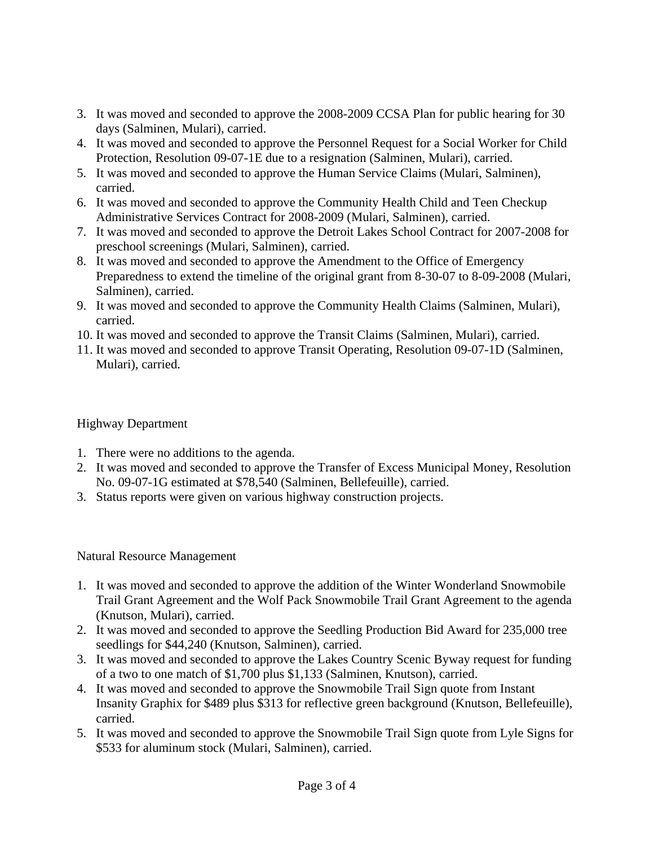- 3. It was moved and seconded to approve the 2008-2009 CCSA Plan for public hearing for 30 days (Salminen, Mulari), carried.
- 4. It was moved and seconded to approve the Personnel Request for a Social Worker for Child Protection, Resolution 09-07-1E due to a resignation (Salminen, Mulari), carried.
- 5. It was moved and seconded to approve the Human Service Claims (Mulari, Salminen), carried.
- 6. It was moved and seconded to approve the Community Health Child and Teen Checkup Administrative Services Contract for 2008-2009 (Mulari, Salminen), carried.
- 7. It was moved and seconded to approve the Detroit Lakes School Contract for 2007-2008 for preschool screenings (Mulari, Salminen), carried.
- 8. It was moved and seconded to approve the Amendment to the Office of Emergency Preparedness to extend the timeline of the original grant from 8-30-07 to 8-09-2008 (Mulari, Salminen), carried.
- 9. It was moved and seconded to approve the Community Health Claims (Salminen, Mulari), carried.
- 10. It was moved and seconded to approve the Transit Claims (Salminen, Mulari), carried.
- 11. It was moved and seconded to approve Transit Operating, Resolution 09-07-1D (Salminen, Mulari), carried.

# Highway Department

- 1. There were no additions to the agenda.
- 2. It was moved and seconded to approve the Transfer of Excess Municipal Money, Resolution No. 09-07-1G estimated at \$78,540 (Salminen, Bellefeuille), carried.
- 3. Status reports were given on various highway construction projects.

## Natural Resource Management

- 1. It was moved and seconded to approve the addition of the Winter Wonderland Snowmobile Trail Grant Agreement and the Wolf Pack Snowmobile Trail Grant Agreement to the agenda (Knutson, Mulari), carried.
- 2. It was moved and seconded to approve the Seedling Production Bid Award for 235,000 tree seedlings for \$44,240 (Knutson, Salminen), carried.
- 3. It was moved and seconded to approve the Lakes Country Scenic Byway request for funding of a two to one match of \$1,700 plus \$1,133 (Salminen, Knutson), carried.
- 4. It was moved and seconded to approve the Snowmobile Trail Sign quote from Instant Insanity Graphix for \$489 plus \$313 for reflective green background (Knutson, Bellefeuille), carried.
- 5. It was moved and seconded to approve the Snowmobile Trail Sign quote from Lyle Signs for \$533 for aluminum stock (Mulari, Salminen), carried.